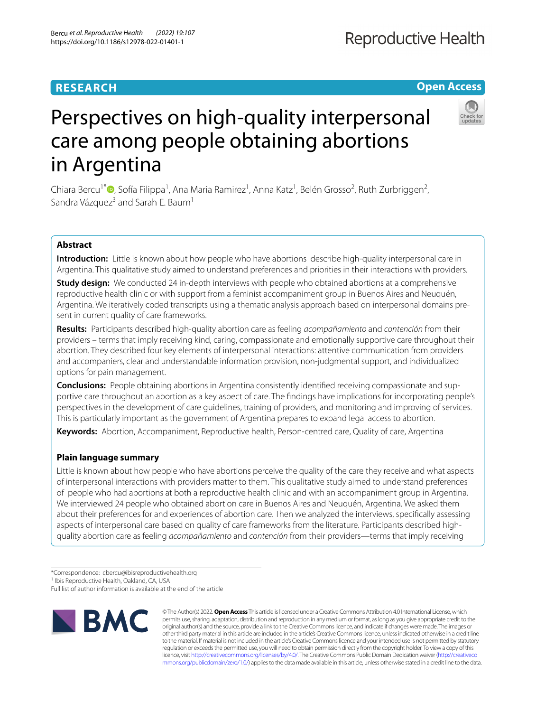# **RESEARCH**

# **Open Access**



# Perspectives on high-quality interpersonal care among people obtaining abortions in Argentina

Chiara Bercu<sup>1\*</sup><sup>®</sup>[,](http://orcid.org/0000-0001-8329-8954) Sofía Filippa<sup>1</sup>, Ana Maria Ramirez<sup>1</sup>, Anna Katz<sup>1</sup>, Belén Grosso<sup>2</sup>, Ruth Zurbriggen<sup>2</sup>, Sandra Vázquez<sup>3</sup> and Sarah E. Baum<sup>1</sup>

# **Abstract**

**Introduction:** Little is known about how people who have abortions describe high-quality interpersonal care in Argentina. This qualitative study aimed to understand preferences and priorities in their interactions with providers.

**Study design:** We conducted 24 in-depth interviews with people who obtained abortions at a comprehensive reproductive health clinic or with support from a feminist accompaniment group in Buenos Aires and Neuquén, Argentina. We iteratively coded transcripts using a thematic analysis approach based on interpersonal domains present in current quality of care frameworks.

**Results:** Participants described high-quality abortion care as feeling *acompañamiento* and *contención* from their providers – terms that imply receiving kind, caring, compassionate and emotionally supportive care throughout their abortion. They described four key elements of interpersonal interactions: attentive communication from providers and accompaniers, clear and understandable information provision, non-judgmental support, and individualized options for pain management.

**Conclusions:** People obtaining abortions in Argentina consistently identifed receiving compassionate and supportive care throughout an abortion as a key aspect of care. The fndings have implications for incorporating people's perspectives in the development of care guidelines, training of providers, and monitoring and improving of services. This is particularly important as the government of Argentina prepares to expand legal access to abortion.

**Keywords:** Abortion, Accompaniment, Reproductive health, Person-centred care, Quality of care, Argentina

# **Plain language summary**

Little is known about how people who have abortions perceive the quality of the care they receive and what aspects of interpersonal interactions with providers matter to them. This qualitative study aimed to understand preferences of people who had abortions at both a reproductive health clinic and with an accompaniment group in Argentina. We interviewed 24 people who obtained abortion care in Buenos Aires and Neuquén, Argentina. We asked them about their preferences for and experiences of abortion care. Then we analyzed the interviews, specifcally assessing aspects of interpersonal care based on quality of care frameworks from the literature. Participants described highquality abortion care as feeling *acompañamiento* and *contención* from their providers—terms that imply receiving

<sup>1</sup> Ibis Reproductive Health, Oakland, CA, USA

Full list of author information is available at the end of the article



© The Author(s) 2022. **Open Access** This article is licensed under a Creative Commons Attribution 4.0 International License, which permits use, sharing, adaptation, distribution and reproduction in any medium or format, as long as you give appropriate credit to the original author(s) and the source, provide a link to the Creative Commons licence, and indicate if changes were made. The images or other third party material in this article are included in the article's Creative Commons licence, unless indicated otherwise in a credit line to the material. If material is not included in the article's Creative Commons licence and your intended use is not permitted by statutory regulation or exceeds the permitted use, you will need to obtain permission directly from the copyright holder. To view a copy of this licence, visit [http://creativecommons.org/licenses/by/4.0/.](http://creativecommons.org/licenses/by/4.0/) The Creative Commons Public Domain Dedication waiver ([http://creativeco](http://creativecommons.org/publicdomain/zero/1.0/) [mmons.org/publicdomain/zero/1.0/](http://creativecommons.org/publicdomain/zero/1.0/)) applies to the data made available in this article, unless otherwise stated in a credit line to the data.

<sup>\*</sup>Correspondence: cbercu@ibisreproductivehealth.org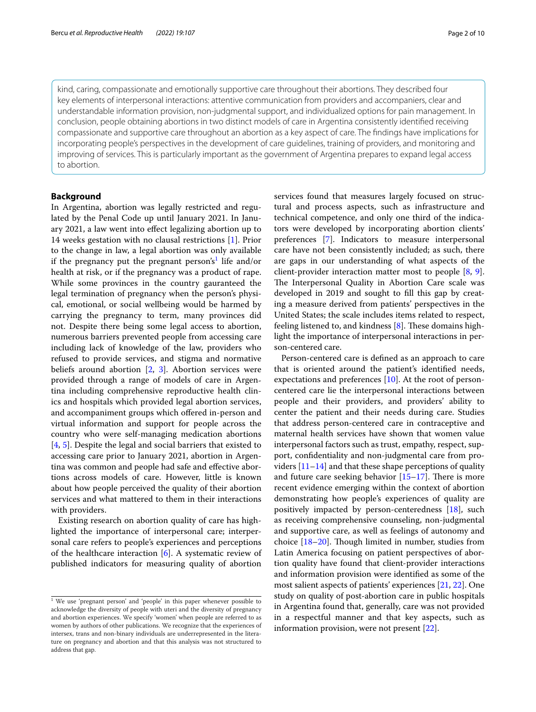kind, caring, compassionate and emotionally supportive care throughout their abortions. They described four key elements of interpersonal interactions: attentive communication from providers and accompaniers, clear and understandable information provision, non-judgmental support, and individualized options for pain management. In conclusion, people obtaining abortions in two distinct models of care in Argentina consistently identifed receiving compassionate and supportive care throughout an abortion as a key aspect of care. The fndings have implications for incorporating people's perspectives in the development of care guidelines, training of providers, and monitoring and improving of services. This is particularly important as the government of Argentina prepares to expand legal access to abortion.

## **Background**

In Argentina, abortion was legally restricted and regulated by the Penal Code up until January 2021. In January 2021, a law went into efect legalizing abortion up to 14 weeks gestation with no clausal restrictions [\[1](#page-8-0)]. Prior to the change in law, a legal abortion was only available if the pregnancy put the pregnant person's<sup>[1](#page-1-0)</sup> life and/or health at risk, or if the pregnancy was a product of rape. While some provinces in the country gauranteed the legal termination of pregnancy when the person's physical, emotional, or social wellbeing would be harmed by carrying the pregnancy to term, many provinces did not. Despite there being some legal access to abortion, numerous barriers prevented people from accessing care including lack of knowledge of the law, providers who refused to provide services, and stigma and normative beliefs around abortion [[2,](#page-8-1) [3](#page-8-2)]. Abortion services were provided through a range of models of care in Argentina including comprehensive reproductive health clinics and hospitals which provided legal abortion services, and accompaniment groups which ofered in-person and virtual information and support for people across the country who were self-managing medication abortions [[4,](#page-8-3) [5\]](#page-8-4). Despite the legal and social barriers that existed to accessing care prior to January 2021, abortion in Argentina was common and people had safe and efective abortions across models of care. However, little is known about how people perceived the quality of their abortion services and what mattered to them in their interactions with providers.

Existing research on abortion quality of care has highlighted the importance of interpersonal care; interpersonal care refers to people's experiences and perceptions of the healthcare interaction [[6\]](#page-8-5). A systematic review of published indicators for measuring quality of abortion services found that measures largely focused on structural and process aspects, such as infrastructure and technical competence, and only one third of the indicators were developed by incorporating abortion clients' preferences [[7\]](#page-8-6). Indicators to measure interpersonal care have not been consistently included; as such, there are gaps in our understanding of what aspects of the client-provider interaction matter most to people [[8,](#page-8-7) [9](#page-8-8)]. The Interpersonal Quality in Abortion Care scale was developed in 2019 and sought to fll this gap by creating a measure derived from patients' perspectives in the United States; the scale includes items related to respect, feeling listened to, and kindness  $[8]$  $[8]$ . These domains highlight the importance of interpersonal interactions in person-centered care.

Person-centered care is defned as an approach to care that is oriented around the patient's identifed needs, expectations and preferences [[10\]](#page-8-9). At the root of personcentered care lie the interpersonal interactions between people and their providers, and providers' ability to center the patient and their needs during care. Studies that address person-centered care in contraceptive and maternal health services have shown that women value interpersonal factors such as trust, empathy, respect, support, confdentiality and non-judgmental care from providers [[11](#page-8-10)[–14](#page-8-11)] and that these shape perceptions of quality and future care seeking behavior  $[15-17]$  $[15-17]$  $[15-17]$ . There is more recent evidence emerging within the context of abortion demonstrating how people's experiences of quality are positively impacted by person-centeredness [\[18](#page-9-1)], such as receiving comprehensive counseling, non-judgmental and supportive care, as well as feelings of autonomy and choice  $[18–20]$  $[18–20]$  $[18–20]$ . Though limited in number, studies from Latin America focusing on patient perspectives of abortion quality have found that client-provider interactions and information provision were identifed as some of the most salient aspects of patients' experiences [\[21,](#page-9-3) [22](#page-9-4)]. One study on quality of post-abortion care in public hospitals in Argentina found that, generally, care was not provided in a respectful manner and that key aspects, such as information provision, were not present [[22\]](#page-9-4).

<span id="page-1-0"></span><sup>&</sup>lt;sup>1</sup> We use 'pregnant person' and 'people' in this paper whenever possible to acknowledge the diversity of people with uteri and the diversity of pregnancy and abortion experiences. We specify 'women' when people are referred to as women by authors of other publications. We recognize that the experiences of intersex, trans and non-binary individuals are underrepresented in the literature on pregnancy and abortion and that this analysis was not structured to address that gap.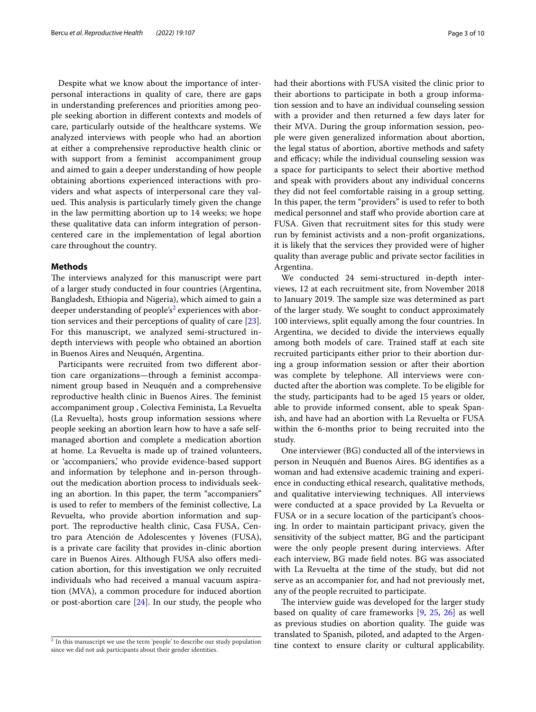Despite what we know about the importance of interpersonal interactions in quality of care, there are gaps in understanding preferences and priorities among people seeking abortion in diferent contexts and models of care, particularly outside of the healthcare systems. We analyzed interviews with people who had an abortion at either a comprehensive reproductive health clinic or with support from a feminist accompaniment group and aimed to gain a deeper understanding of how people obtaining abortions experienced interactions with providers and what aspects of interpersonal care they valued. This analysis is particularly timely given the change in the law permitting abortion up to 14 weeks; we hope these qualitative data can inform integration of personcentered care in the implementation of legal abortion care throughout the country.

#### **Methods**

The interviews analyzed for this manuscript were part of a larger study conducted in four countries (Argentina, Bangladesh, Ethiopia and Nigeria), which aimed to gain a deeper understanding of people's<sup>[2](#page-2-0)</sup> experiences with abortion services and their perceptions of quality of care [\[23](#page-9-5)]. For this manuscript, we analyzed semi-structured indepth interviews with people who obtained an abortion in Buenos Aires and Neuquén, Argentina.

Participants were recruited from two diferent abortion care organizations—through a feminist accompaniment group based in Neuquén and a comprehensive reproductive health clinic in Buenos Aires. The feminist accompaniment group , Colectiva Feminista, La Revuelta (La Revuelta), hosts group information sessions where people seeking an abortion learn how to have a safe selfmanaged abortion and complete a medication abortion at home. La Revuelta is made up of trained volunteers, or 'accompaniers,' who provide evidence-based support and information by telephone and in-person throughout the medication abortion process to individuals seeking an abortion. In this paper, the term "accompaniers" is used to refer to members of the feminist collective, La Revuelta, who provide abortion information and support. The reproductive health clinic, Casa FUSA, Centro para Atención de Adolescentes y Jóvenes (FUSA), is a private care facility that provides in-clinic abortion care in Buenos Aires. Although FUSA also offers medication abortion, for this investigation we only recruited individuals who had received a manual vacuum aspiration (MVA), a common procedure for induced abortion or post-abortion care  $[24]$  $[24]$  $[24]$ . In our study, the people who had their abortions with FUSA visited the clinic prior to their abortions to participate in both a group information session and to have an individual counseling session with a provider and then returned a few days later for their MVA. During the group information session, people were given generalized information about abortion, the legal status of abortion, abortive methods and safety and efficacy; while the individual counseling session was a space for participants to select their abortive method and speak with providers about any individual concerns they did not feel comfortable raising in a group setting. In this paper, the term "providers" is used to refer to both medical personnel and staf who provide abortion care at FUSA. Given that recruitment sites for this study were run by feminist activists and a non-proft organizations, it is likely that the services they provided were of higher quality than average public and private sector facilities in Argentina.

We conducted 24 semi-structured in-depth interviews, 12 at each recruitment site, from November 2018 to January 2019. The sample size was determined as part of the larger study. We sought to conduct approximately 100 interviews, split equally among the four countries. In Argentina, we decided to divide the interviews equally among both models of care. Trained staff at each site recruited participants either prior to their abortion during a group information session or after their abortion was complete by telephone. All interviews were conducted after the abortion was complete. To be eligible for the study, participants had to be aged 15 years or older, able to provide informed consent, able to speak Spanish, and have had an abortion with La Revuelta or FUSA within the 6-months prior to being recruited into the study.

One interviewer (BG) conducted all of the interviews in person in Neuquén and Buenos Aires. BG identifes as a woman and had extensive academic training and experience in conducting ethical research, qualitative methods, and qualitative interviewing techniques. All interviews were conducted at a space provided by La Revuelta or FUSA or in a secure location of the participant's choosing. In order to maintain participant privacy, given the sensitivity of the subject matter, BG and the participant were the only people present during interviews. After each interview, BG made feld notes. BG was associated with La Revuelta at the time of the study, but did not serve as an accompanier for, and had not previously met, any of the people recruited to participate.

The interview guide was developed for the larger study based on quality of care frameworks [\[9](#page-8-8), [25](#page-9-7), [26](#page-9-8)] as well as previous studies on abortion quality. The guide was translated to Spanish, piloted, and adapted to the Argen-<sup>2</sup> In this manuscript we use the term 'people' to describe our study population tine context to ensure clarity or cultural applicability.

<span id="page-2-0"></span>since we did not ask participants about their gender identities.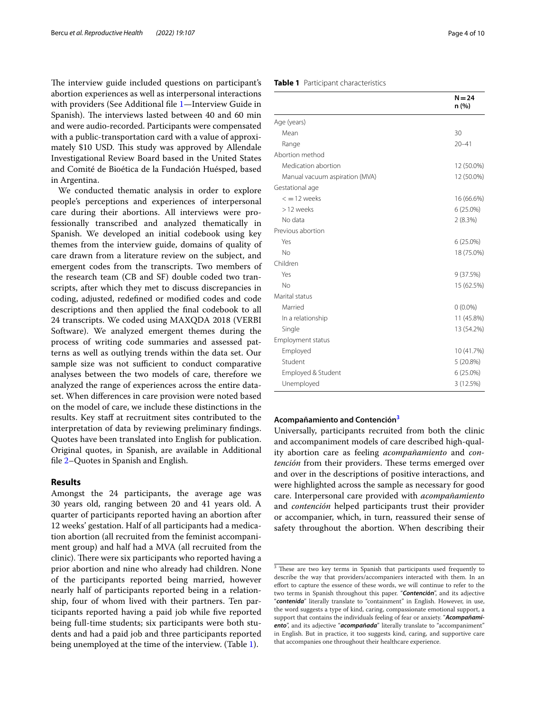The interview guide included questions on participant's abortion experiences as well as interpersonal interactions with providers (See Additional fle [1](#page-8-13)—Interview Guide in Spanish). The interviews lasted between 40 and 60 min and were audio-recorded. Participants were compensated with a public-transportation card with a value of approximately \$10 USD. This study was approved by Allendale Investigational Review Board based in the United States and Comité de Bioética de la Fundación Huésped, based in Argentina.

We conducted thematic analysis in order to explore people's perceptions and experiences of interpersonal care during their abortions. All interviews were professionally transcribed and analyzed thematically in Spanish. We developed an initial codebook using key themes from the interview guide, domains of quality of care drawn from a literature review on the subject, and emergent codes from the transcripts. Two members of the research team (CB and SF) double coded two transcripts, after which they met to discuss discrepancies in coding, adjusted, redefned or modifed codes and code descriptions and then applied the fnal codebook to all 24 transcripts. We coded using MAXQDA 2018 (VERBI Software). We analyzed emergent themes during the process of writing code summaries and assessed patterns as well as outlying trends within the data set. Our sample size was not sufficient to conduct comparative analyses between the two models of care, therefore we analyzed the range of experiences across the entire dataset. When diferences in care provision were noted based on the model of care, we include these distinctions in the results. Key staf at recruitment sites contributed to the interpretation of data by reviewing preliminary fndings. Quotes have been translated into English for publication. Original quotes, in Spanish, are available in Additional fle [2](#page-8-14)–Quotes in Spanish and English.

## **Results**

Amongst the 24 participants, the average age was 30 years old, ranging between 20 and 41 years old. A quarter of participants reported having an abortion after 12 weeks' gestation. Half of all participants had a medication abortion (all recruited from the feminist accompaniment group) and half had a MVA (all recruited from the clinic). There were six participants who reported having a prior abortion and nine who already had children. None of the participants reported being married, however nearly half of participants reported being in a relationship, four of whom lived with their partners. Ten participants reported having a paid job while fve reported being full-time students; six participants were both students and had a paid job and three participants reported being unemployed at the time of the interview. (Table [1\)](#page-3-0).

## <span id="page-3-0"></span>**Table 1** Participant characteristics

|                                | $N = 24$<br>n (%) |
|--------------------------------|-------------------|
| Age (years)                    |                   |
| Mean                           | 30                |
| Range                          | $20 - 41$         |
| Abortion method                |                   |
| Medication abortion            | 12 (50.0%)        |
| Manual vacuum aspiration (MVA) | 12 (50.0%)        |
| Gestational age                |                   |
| $\epsilon = 12$ weeks          | 16 (66.6%)        |
| >12 weeks                      | $6(25.0\%)$       |
| No data                        | 2(8.3%)           |
| Previous abortion              |                   |
| Yes                            | 6 (25.0%)         |
| No                             | 18 (75.0%)        |
| Children                       |                   |
| Yes                            | 9(37.5%)          |
| No                             | 15 (62.5%)        |
| Marital status                 |                   |
| Married                        | $0(0.0\%)$        |
| In a relationship              | 11 (45.8%)        |
| Single                         | 13 (54.2%)        |
| <b>Employment status</b>       |                   |
| Employed                       | 10 (41.7%)        |
| Student                        | 5(20.8%)          |
| Employed & Student             | $6(25.0\%)$       |
| Unemployed                     | 3 (12.5%)         |

#### **Acompañamiento and Contención[3](#page-3-1)**

Universally, participants recruited from both the clinic and accompaniment models of care described high-quality abortion care as feeling *acompañamiento* and *con*tención from their providers. These terms emerged over and over in the descriptions of positive interactions, and were highlighted across the sample as necessary for good care. Interpersonal care provided with *acompañamiento* and *contención* helped participants trust their provider or accompanier, which, in turn, reassured their sense of safety throughout the abortion. When describing their

<span id="page-3-1"></span> $\frac{3}{3}$  These are two key terms in Spanish that participants used frequently to describe the way that providers/accompaniers interacted with them. In an efort to capture the essence of these words, we will continue to refer to the two terms in Spanish throughout this paper. "*Contención*", and its adjective "*contenida*" literally translate to "containment" in English. However, in use, the word suggests a type of kind, caring, compassionate emotional support, a support that contains the individuals feeling of fear or anxiety. "*Acompañamiento*", and its adjective "*acompañada*" literally translate to "accompaniment" in English. But in practice, it too suggests kind, caring, and supportive care that accompanies one throughout their healthcare experience.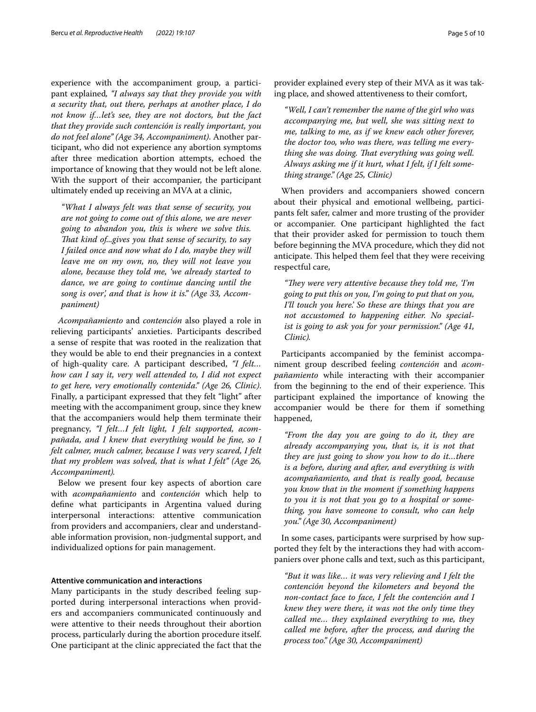experience with the accompaniment group, a participant explained*, "I always say that they provide you with a security that, out there, perhaps at another place, I do not know if…let's see, they are not doctors, but the fact that they provide such contención is really important, you do not feel alone" (Age 34, Accompaniment)*. Another participant, who did not experience any abortion symptoms after three medication abortion attempts, echoed the importance of knowing that they would not be left alone. With the support of their accompanier, the participant ultimately ended up receiving an MVA at a clinic,

*"What I always felt was that sense of security, you are not going to come out of this alone, we are never going to abandon you, this is where we solve this. Tat kind of...gives you that sense of security, to say I failed once and now what do I do, maybe they will leave me on my own, no, they will not leave you alone, because they told me, 'we already started to dance, we are going to continue dancing until the song is over', and that is how it is." (Age 33, Accompaniment)*

*Acompañamiento* and *contención* also played a role in relieving participants' anxieties. Participants described a sense of respite that was rooted in the realization that they would be able to end their pregnancies in a context of high-quality care. A participant described, *"I felt… how can I say it, very well attended to, I did not expect to get here, very emotionally contenida." (Age 26, Clinic)*. Finally, a participant expressed that they felt "light" after meeting with the accompaniment group, since they knew that the accompaniers would help them terminate their pregnancy, *"I felt…I felt light, I felt supported, acompañada, and I knew that everything would be fne, so I felt calmer, much calmer, because I was very scared, I felt that my problem was solved, that is what I felt" (Age 26, Accompaniment).*

Below we present four key aspects of abortion care with *acompañamiento* and *contención* which help to defne what participants in Argentina valued during interpersonal interactions: attentive communication from providers and accompaniers, clear and understandable information provision, non-judgmental support, and individualized options for pain management.

## **Attentive communication and interactions**

Many participants in the study described feeling supported during interpersonal interactions when providers and accompaniers communicated continuously and were attentive to their needs throughout their abortion process, particularly during the abortion procedure itself. One participant at the clinic appreciated the fact that the

provider explained every step of their MVA as it was taking place, and showed attentiveness to their comfort,

*"Well, I can't remember the name of the girl who was accompanying me, but well, she was sitting next to me, talking to me, as if we knew each other forever, the doctor too, who was there, was telling me everything she was doing. That everything was going well. Always asking me if it hurt, what I felt, if I felt something strange." (Age 25, Clinic)*

When providers and accompaniers showed concern about their physical and emotional wellbeing, participants felt safer, calmer and more trusting of the provider or accompanier. One participant highlighted the fact that their provider asked for permission to touch them before beginning the MVA procedure, which they did not anticipate. This helped them feel that they were receiving respectful care,

"They were very attentive because they told me, 'I'm *going to put this on you, I'm going to put that on you, I'll touch you here.' So these are things that you are not accustomed to happening either. No specialist is going to ask you for your permission." (Age 41, Clinic).*

Participants accompanied by the feminist accompaniment group described feeling *contención* and *acompañamiento* while interacting with their accompanier from the beginning to the end of their experience. This participant explained the importance of knowing the accompanier would be there for them if something happened,

*"From the day you are going to do it, they are already accompanying you, that is, it is not that they are just going to show you how to do it…there is a before, during and after, and everything is with acompañamiento, and that is really good, because you know that in the moment if something happens to you it is not that you go to a hospital or something, you have someone to consult, who can help you." (Age 30, Accompaniment)*

In some cases, participants were surprised by how supported they felt by the interactions they had with accompaniers over phone calls and text, such as this participant,

*"But it was like… it was very relieving and I felt the contención beyond the kilometers and beyond the non-contact face to face, I felt the contención and I knew they were there, it was not the only time they called me… they explained everything to me, they called me before, after the process, and during the process too." (Age 30, Accompaniment)*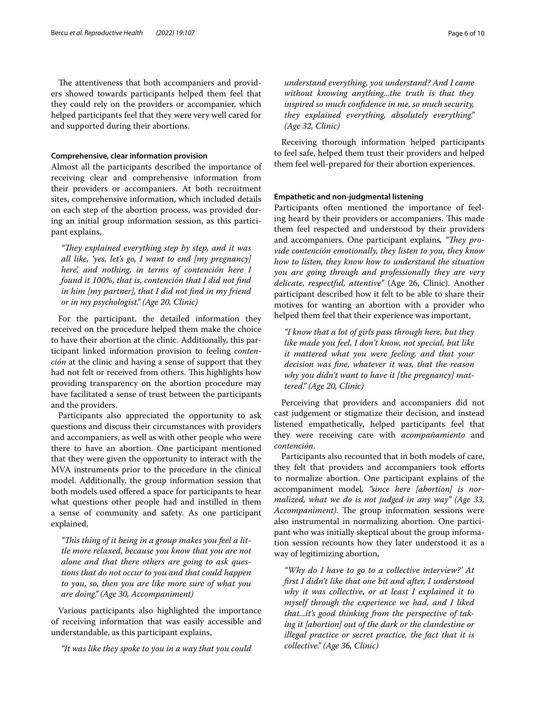The attentiveness that both accompaniers and providers showed towards participants helped them feel that they could rely on the providers or accompanier, which helped participants feel that they were very well cared for and supported during their abortions.

## **Comprehensive, clear information provision**

Almost all the participants described the importance of receiving clear and comprehensive information from their providers or accompaniers. At both recruitment sites, comprehensive information, which included details on each step of the abortion process, was provided during an initial group information session, as this participant explains,

*"They explained everything step by step, and it was all like, 'yes, let's go, I want to end [my pregnancy] here', and nothing, in terms of contención here I found it 100%, that is, contención that I did not fnd in him [my partner], that I did not fnd in my friend or in my psychologist." (Age 20, Clinic)*

For the participant, the detailed information they received on the procedure helped them make the choice to have their abortion at the clinic. Additionally, this participant linked information provision to feeling *contención* at the clinic and having a sense of support that they had not felt or received from others. This highlights how providing transparency on the abortion procedure may have facilitated a sense of trust between the participants and the providers.

Participants also appreciated the opportunity to ask questions and discuss their circumstances with providers and accompaniers, as well as with other people who were there to have an abortion. One participant mentioned that they were given the opportunity to interact with the MVA instruments prior to the procedure in the clinical model. Additionally, the group information session that both models used offered a space for participants to hear what questions other people had and instilled in them a sense of community and safety. As one participant explained,

*"Tis thing of it being in a group makes you feel a little more relaxed, because you know that you are not alone and that there others are going to ask questions that do not occur to you and that could happen to you, so, then you are like more sure of what you are doing." (Age 30, Accompaniment)*

Various participants also highlighted the importance of receiving information that was easily accessible and understandable, as this participant explains,

*"It was like they spoke to you in a way that you could* 

*understand everything, you understand? And I came without knowing anything...the truth is that they inspired so much confdence in me, so much security, they explained everything, absolutely everything." (Age 32, Clinic)*

Receiving thorough information helped participants to feel safe, helped them trust their providers and helped them feel well-prepared for their abortion experiences.

### **Empathetic and non‑judgmental listening**

Participants often mentioned the importance of feeling heard by their providers or accompaniers. This made them feel respected and understood by their providers and accompaniers. One participant explains, "They pro*vide contención emotionally, they listen to you, they know how to listen, they know how to understand the situation you are going through and professionally they are very delicate, respectful, attentive"* (Age 26, Clinic). Another participant described how it felt to be able to share their motives for wanting an abortion with a provider who helped them feel that their experience was important,

*"I know that a lot of girls pass through here, but they like made you feel, I don't know, not special, but like it mattered what you were feeling, and that your decision was fne, whatever it was, that the reason why you didn't want to have it [the pregnancy] mattered." (Age 20, Clinic)*

Perceiving that providers and accompaniers did not cast judgement or stigmatize their decision, and instead listened empathetically, helped participants feel that they were receiving care with *acompañamiento* and *contención*.

Participants also recounted that in both models of care, they felt that providers and accompaniers took eforts to normalize abortion. One participant explains of the accompaniment model*, "since here [abortion] is normalized, what we do is not judged in any way" (Age 33, Accompaniment*). The group information sessions were also instrumental in normalizing abortion. One participant who was initially skeptical about the group information session recounts how they later understood it as a way of legitimizing abortion,

*"Why do I have to go to a collective interview?' At frst I didn't like that one bit and after, I understood why it was collective, or at least I explained it to myself through the experience we had, and I liked that...it's good thinking from the perspective of taking it [abortion] out of the dark or the clandestine or illegal practice or secret practice, the fact that it is collective." (Age 36, Clinic)*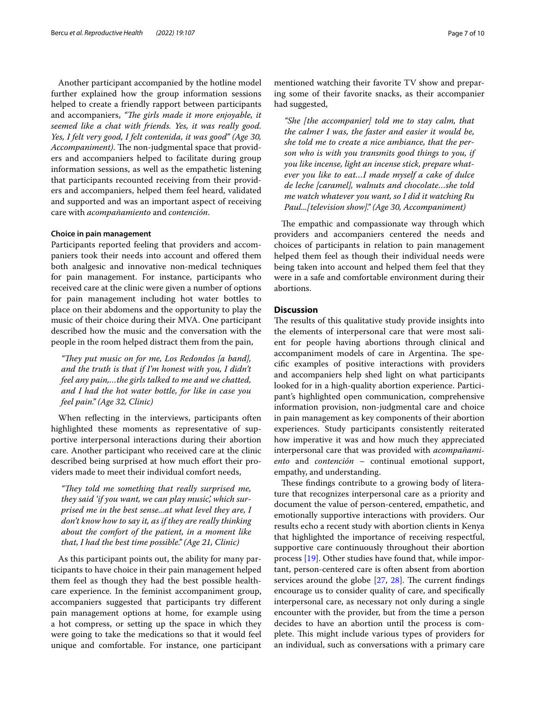Another participant accompanied by the hotline model further explained how the group information sessions helped to create a friendly rapport between participants and accompaniers, "The girls made it more enjoyable, it *seemed like a chat with friends. Yes, it was really good. Yes, I felt very good, I felt contenida, it was good" (Age 30, Accompaniment*). The non-judgmental space that providers and accompaniers helped to facilitate during group information sessions, as well as the empathetic listening that participants recounted receiving from their providers and accompaniers, helped them feel heard, validated and supported and was an important aspect of receiving care with *acompañamiento* and *contención*.

## **Choice in pain management**

Participants reported feeling that providers and accompaniers took their needs into account and ofered them both analgesic and innovative non-medical techniques for pain management. For instance, participants who received care at the clinic were given a number of options for pain management including hot water bottles to place on their abdomens and the opportunity to play the music of their choice during their MVA. One participant described how the music and the conversation with the people in the room helped distract them from the pain,

"They put music on for me, Los Redondos [a band], *and the truth is that if I'm honest with you, I didn't feel any pain,…the girls talked to me and we chatted, and I had the hot water bottle, for like in case you feel pain." (Age 32, Clinic)*

When refecting in the interviews, participants often highlighted these moments as representative of supportive interpersonal interactions during their abortion care. Another participant who received care at the clinic described being surprised at how much effort their providers made to meet their individual comfort needs,

*"They told me something that really surprised me, they said 'if you want, we can play music', which surprised me in the best sense...at what level they are, I don't know how to say it, as if they are really thinking about the comfort of the patient, in a moment like that, I had the best time possible." (Age 21, Clinic)*

As this participant points out, the ability for many participants to have choice in their pain management helped them feel as though they had the best possible healthcare experience. In the feminist accompaniment group, accompaniers suggested that participants try diferent pain management options at home, for example using a hot compress, or setting up the space in which they were going to take the medications so that it would feel unique and comfortable. For instance, one participant mentioned watching their favorite TV show and preparing some of their favorite snacks, as their accompanier had suggested,

*"She [the accompanier] told me to stay calm, that the calmer I was, the faster and easier it would be, she told me to create a nice ambiance, that the person who is with you transmits good things to you, if you like incense, light an incense stick, prepare whatever you like to eat…I made myself a cake of dulce de leche [caramel], walnuts and chocolate…she told me watch whatever you want, so I did it watching Ru Paul...[television show]." (Age 30, Accompaniment)*

The empathic and compassionate way through which providers and accompaniers centered the needs and choices of participants in relation to pain management helped them feel as though their individual needs were being taken into account and helped them feel that they were in a safe and comfortable environment during their abortions.

## **Discussion**

The results of this qualitative study provide insights into the elements of interpersonal care that were most salient for people having abortions through clinical and accompaniment models of care in Argentina. The specifc examples of positive interactions with providers and accompaniers help shed light on what participants looked for in a high-quality abortion experience. Participant's highlighted open communication, comprehensive information provision, non-judgmental care and choice in pain management as key components of their abortion experiences. Study participants consistently reiterated how imperative it was and how much they appreciated interpersonal care that was provided with *acompañamiento* and *contención* – continual emotional support, empathy, and understanding.

These findings contribute to a growing body of literature that recognizes interpersonal care as a priority and document the value of person-centered, empathetic, and emotionally supportive interactions with providers. Our results echo a recent study with abortion clients in Kenya that highlighted the importance of receiving respectful, supportive care continuously throughout their abortion process [\[19\]](#page-9-9). Other studies have found that, while important, person-centered care is often absent from abortion services around the globe  $[27, 28]$  $[27, 28]$  $[27, 28]$  $[27, 28]$  $[27, 28]$ . The current findings encourage us to consider quality of care, and specifcally interpersonal care, as necessary not only during a single encounter with the provider, but from the time a person decides to have an abortion until the process is complete. This might include various types of providers for an individual, such as conversations with a primary care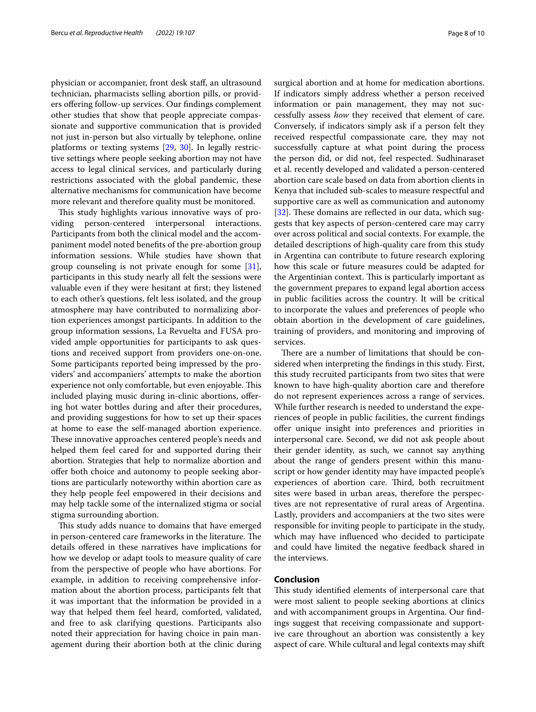physician or accompanier, front desk staf, an ultrasound technician, pharmacists selling abortion pills, or providers ofering follow-up services. Our fndings complement other studies that show that people appreciate compassionate and supportive communication that is provided not just in-person but also virtually by telephone, online platforms or texting systems [[29,](#page-9-12) [30](#page-9-13)]. In legally restrictive settings where people seeking abortion may not have access to legal clinical services, and particularly during restrictions associated with the global pandemic, these alternative mechanisms for communication have become more relevant and therefore quality must be monitored.

This study highlights various innovative ways of providing person-centered interpersonal interactions. Participants from both the clinical model and the accompaniment model noted benefts of the pre-abortion group information sessions. While studies have shown that group counseling is not private enough for some [\[31](#page-9-14)], participants in this study nearly all felt the sessions were valuable even if they were hesitant at frst; they listened to each other's questions, felt less isolated, and the group atmosphere may have contributed to normalizing abortion experiences amongst participants. In addition to the group information sessions, La Revuelta and FUSA provided ample opportunities for participants to ask questions and received support from providers one-on-one. Some participants reported being impressed by the providers' and accompaniers' attempts to make the abortion experience not only comfortable, but even enjoyable. This included playing music during in-clinic abortions, ofering hot water bottles during and after their procedures, and providing suggestions for how to set up their spaces at home to ease the self-managed abortion experience. These innovative approaches centered people's needs and helped them feel cared for and supported during their abortion. Strategies that help to normalize abortion and offer both choice and autonomy to people seeking abortions are particularly noteworthy within abortion care as they help people feel empowered in their decisions and may help tackle some of the internalized stigma or social stigma surrounding abortion.

This study adds nuance to domains that have emerged in person-centered care frameworks in the literature. The details ofered in these narratives have implications for how we develop or adapt tools to measure quality of care from the perspective of people who have abortions. For example, in addition to receiving comprehensive information about the abortion process, participants felt that it was important that the information be provided in a way that helped them feel heard, comforted, validated, and free to ask clarifying questions. Participants also noted their appreciation for having choice in pain management during their abortion both at the clinic during surgical abortion and at home for medication abortions. If indicators simply address whether a person received information or pain management, they may not successfully assess *how* they received that element of care. Conversely, if indicators simply ask if a person felt they received respectful compassionate care, they may not successfully capture at what point during the process the person did, or did not, feel respected. Sudhinaraset et al. recently developed and validated a person-centered abortion care scale based on data from abortion clients in Kenya that included sub-scales to measure respectful and supportive care as well as communication and autonomy  $[32]$  $[32]$ . These domains are reflected in our data, which suggests that key aspects of person-centered care may carry over across political and social contexts. For example, the detailed descriptions of high-quality care from this study in Argentina can contribute to future research exploring how this scale or future measures could be adapted for the Argentinian context. This is particularly important as the government prepares to expand legal abortion access in public facilities across the country. It will be critical to incorporate the values and preferences of people who obtain abortion in the development of care guidelines, training of providers, and monitoring and improving of services.

There are a number of limitations that should be considered when interpreting the fndings in this study. First, this study recruited participants from two sites that were known to have high-quality abortion care and therefore do not represent experiences across a range of services. While further research is needed to understand the experiences of people in public facilities, the current fndings ofer unique insight into preferences and priorities in interpersonal care. Second, we did not ask people about their gender identity, as such, we cannot say anything about the range of genders present within this manuscript or how gender identity may have impacted people's experiences of abortion care. Third, both recruitment sites were based in urban areas, therefore the perspectives are not representative of rural areas of Argentina. Lastly, providers and accompaniers at the two sites were responsible for inviting people to participate in the study, which may have infuenced who decided to participate and could have limited the negative feedback shared in the interviews.

## **Conclusion**

This study identified elements of interpersonal care that were most salient to people seeking abortions at clinics and with accompaniment groups in Argentina. Our fndings suggest that receiving compassionate and supportive care throughout an abortion was consistently a key aspect of care. While cultural and legal contexts may shift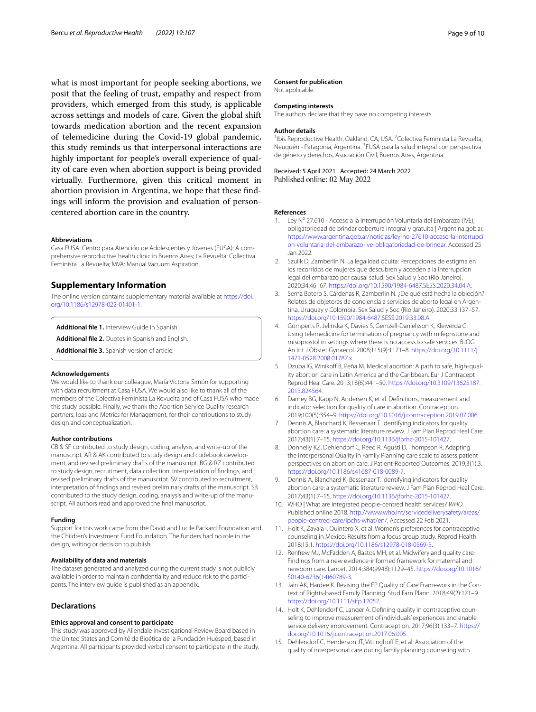what is most important for people seeking abortions, we posit that the feeling of trust, empathy and respect from providers, which emerged from this study, is applicable across settings and models of care. Given the global shift towards medication abortion and the recent expansion of telemedicine during the Covid-19 global pandemic, this study reminds us that interpersonal interactions are highly important for people's overall experience of quality of care even when abortion support is being provided virtually. Furthermore, given this critical moment in abortion provision in Argentina, we hope that these fndings will inform the provision and evaluation of personcentered abortion care in the country.

#### **Abbreviations**

Casa FUSA: Centro para Atención de Adolescentes y Jóvenes (FUSA): A comprehensive reproductive health clinic in Buenos Aires; La Revuelta: Collectiva Feminista La Revuelta; MVA: Manual Vacuum Aspiration.

## **Supplementary Information**

The online version contains supplementary material available at [https://doi.](https://doi.org/10.1186/s12978-022-01401-1) [org/10.1186/s12978-022-01401-1](https://doi.org/10.1186/s12978-022-01401-1).

<span id="page-8-14"></span><span id="page-8-13"></span>**Additional fle 1.** Interview Guide in Spanish.

**Additional fle 2.** Quotes in Spanish and English.

**Additional fle 3.** Spanish version of article.

#### **Acknowledgements**

We would like to thank our colleague, María Victoria Simón for supporting with data recruitment at Casa FUSA. We would also like to thank all of the members of the Colectiva Feminista La Revuelta and of Casa FUSA who made this study possible. Finally, we thank the Abortion Service Quality research partners, Ipas and Metrics for Management, for their contributions to study design and conceptualization.

#### **Author contributions**

CB & SF contributed to study design, coding, analysis, and write-up of the manuscript. AR & AK contributed to study design and codebook development, and revised preliminary drafts of the manuscript. BG & RZ contributed to study design, recruitment, data collection, interpretation of fndings, and revised preliminary drafts of the manuscript. SV contributed to recruitment, interpretation of fndings and revised preliminary drafts of the manuscript. SB contributed to the study design, coding, analysis and write-up of the manuscript. All authors read and approved the fnal manuscript.

#### **Funding**

Support for this work came from the David and Lucile Packard Foundation and the Children's Investment Fund Foundation. The funders had no role in the design, writing or decision to publish.

#### **Availability of data and materials**

The dataset generated and analyzed during the current study is not publicly available in order to maintain confdentiality and reduce risk to the participants. The interview guide is published as an appendix.

### **Declarations**

## **Ethics approval and consent to participate**

This study was approved by Allendale Investigational Review Board based in the United States and Comité de Bioética de la Fundación Huésped, based in Argentina. All participants provided verbal consent to participate in the study.

#### **Consent for publication**

Not applicable.

#### **Competing interests**

The authors declare that they have no competing interests.

#### **Author details**

<sup>1</sup>Ibis Reproductive Health, Oakland, CA, USA. <sup>2</sup>Colectiva Feminista La Revuelta, Neuquén - Patagonia, Argentina. <sup>3</sup> FUSA para la salud integral con perspectiva de género y derechos, Asociación Civil, Buenos Aires, Argentina.

Received: 5 April 2021 Accepted: 24 March 2022 Published online: 02 May 2022

#### **References**

- <span id="page-8-0"></span>1. Ley Nº 27.610 - Acceso a la Interrupción Voluntaria del Embarazo (IVE), obligatoriedad de brindar cobertura integral y gratuita | Argentina.gob.ar. [https://www.argentina.gob.ar/noticias/ley-no-27610-acceso-la-interrupci](https://www.argentina.gob.ar/noticias/ley-no-27610-acceso-la-interrupcion-voluntaria-del-embarazo-ive-obligatoriedad-de-brindar) [on-voluntaria-del-embarazo-ive-obligatoriedad-de-brindar](https://www.argentina.gob.ar/noticias/ley-no-27610-acceso-la-interrupcion-voluntaria-del-embarazo-ive-obligatoriedad-de-brindar). Accessed 25 Jan 2022.
- <span id="page-8-1"></span>Szulik D, Zamberlin N. La legalidad oculta: Percepciones de estigma en los recorridos de mujeres que descubren y acceden a la interrupción legal del embarazo por causal salud. Sex Salud y Soc (Rio Janeiro). 2020;34:46–67. <https://doi.org/10.1590/1984-6487.SESS.2020.34.04.A>.
- <span id="page-8-2"></span>3. Serna Botero S, Cárdenas R, Zamberlin N. ¿De qué está hecha la objeción? Relatos de objetores de conciencia a servicios de aborto legal en Argentina, Uruguay y Colombia. Sex Salud y Soc (Rio Janeiro). 2020;33:137–57. <https://doi.org/10.1590/1984-6487.SESS.2019.33.08.A>.
- <span id="page-8-3"></span>4. Gomperts R, Jelinska K, Davies S, Gemzell-Danielsson K, Kleiverda G. Using telemedicine for termination of pregnancy with mifepristone and misoprostol in settings where there is no access to safe services. BJOG An Int J Obstet Gynaecol. 2008;115(9):1171–8. [https://doi.org/10.1111/j.](https://doi.org/10.1111/j.1471-0528.2008.01787.x) [1471-0528.2008.01787.x](https://doi.org/10.1111/j.1471-0528.2008.01787.x).
- <span id="page-8-4"></span>5. Dzuba IG, Winikoff B, Peña M. Medical abortion: A path to safe, high-quality abortion care in Latin America and the Caribbean. Eur J Contracept Reprod Heal Care. 2013;18(6):441–50. [https://doi.org/10.3109/13625187.](https://doi.org/10.3109/13625187.2013.824564) [2013.824564.](https://doi.org/10.3109/13625187.2013.824564)
- <span id="page-8-5"></span>6. Darney BG, Kapp N, Andersen K, et al. Defnitions, measurement and indicator selection for quality of care in abortion. Contraception. 2019;100(5):354–9. [https://doi.org/10.1016/j.contraception.2019.07.006.](https://doi.org/10.1016/j.contraception.2019.07.006)
- <span id="page-8-6"></span>7. Dennis A, Blanchard K, Bessenaar T. Identifying indicators for quality abortion care: a systematic literature review. J Fam Plan Reprod Heal Care. 2017;43(1):7–15. [https://doi.org/10.1136/jfprhc-2015-101427.](https://doi.org/10.1136/jfprhc-2015-101427)
- <span id="page-8-7"></span>8. Donnelly KZ, Dehlendorf C, Reed R, Agusti D, Thompson R. Adapting the Interpersonal Quality in Family Planning care scale to assess patient perspectives on abortion care. J Patient-Reported Outcomes. 2019;3(1):3. [https://doi.org/10.1186/s41687-018-0089-7.](https://doi.org/10.1186/s41687-018-0089-7)
- <span id="page-8-8"></span>9. Dennis A, Blanchard K, Bessenaar T. Identifying indicators for quality abortion care: a systematic literature review. J Fam Plan Reprod Heal Care. 2017;43(1):7–15. [https://doi.org/10.1136/jfprhc-2015-101427.](https://doi.org/10.1136/jfprhc-2015-101427)
- <span id="page-8-9"></span>10. WHO | What are integrated people-centred health services? *WHO*. Published online 2018. [http://www.who.int/servicedeliverysafety/areas/](http://www.who.int/servicedeliverysafety/areas/people-centred-care/ipchs-what/en/) [people-centred-care/ipchs-what/en/](http://www.who.int/servicedeliverysafety/areas/people-centred-care/ipchs-what/en/). Accessed 22 Feb 2021.
- <span id="page-8-10"></span>11. Holt K, Zavala I, Quintero X, et al. Women's preferences for contraceptive counseling in Mexico: Results from a focus group study. Reprod Health. 2018;15:1. [https://doi.org/10.1186/s12978-018-0569-5.](https://doi.org/10.1186/s12978-018-0569-5)
- 12. Renfrew MJ, McFadden A, Bastos MH, et al. Midwifery and quality care: Findings from a new evidence-informed framework for maternal and newborn care. Lancet. 2014;384(9948):1129–45. [https://doi.org/10.1016/](https://doi.org/10.1016/S0140-6736(14)60789-3) [S0140-6736\(14\)60789-3](https://doi.org/10.1016/S0140-6736(14)60789-3).
- 13. Jain AK, Hardee K. Revising the FP Quality of Care Framework in the Context of Rights-based Family Planning. Stud Fam Plann. 2018;49(2):171–9. [https://doi.org/10.1111/sifp.12052.](https://doi.org/10.1111/sifp.12052)
- <span id="page-8-11"></span>14. Holt K, Dehlendorf C, Langer A. Defning quality in contraceptive counseling to improve measurement of individuals' experiences and enable service delivery improvement. Contraception. 2017;96(3):133–7. [https://](https://doi.org/10.1016/j.contraception.2017.06.005) [doi.org/10.1016/j.contraception.2017.06.005](https://doi.org/10.1016/j.contraception.2017.06.005).
- <span id="page-8-12"></span>15. Dehlendorf C, Henderson JT, Vittinghoff E, et al. Association of the quality of interpersonal care during family planning counseling with